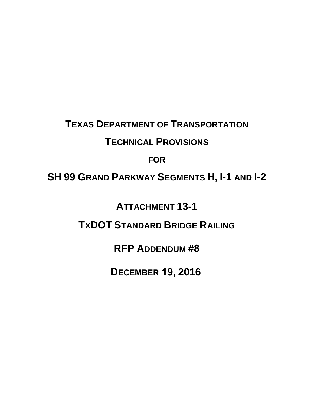# **TEXAS DEPARTMENT OF TRANSPORTATION**

## **TECHNICAL PROVISIONS**

### **FOR**

# **SH 99 GRAND PARKWAY SEGMENTS H, I-1 AND I-2**

**ATTACHMENT 13-1** 

**TXDOT STANDARD BRIDGE RAILING**

**RFP ADDENDUM #8**

**DECEMBER 19, 2016**